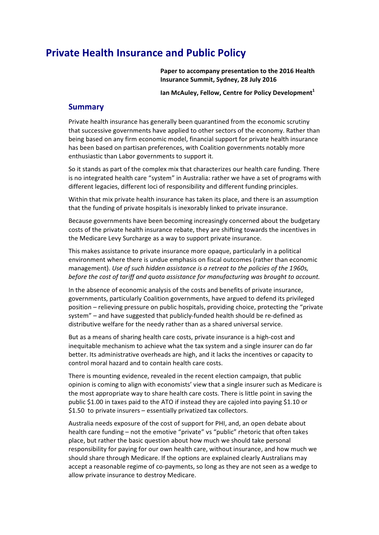# **Private Health Insurance and Public Policy**

**Paper to accompany presentation to the 2016 Health Insurance Summit, Sydney, 28 July 2016**

**Ian McAuley, Fellow, Centre for Policy Development<sup>1</sup>**

### **Summary**

Private health insurance has generally been quarantined from the economic scrutiny that successive governments have applied to other sectors of the economy. Rather than being based on any firm economic model, financial support for private health insurance has been based on partisan preferences, with Coalition governments notably more enthusiastic than Labor governments to support it.

So it stands as part of the complex mix that characterizes our health care funding. There is no integrated health care "system" in Australia: rather we have a set of programs with different legacies, different loci of responsibility and different funding principles.

Within that mix private health insurance has taken its place, and there is an assumption that the funding of private hospitals is inexorably linked to private insurance.

Because governments have been becoming increasingly concerned about the budgetary costs of the private health insurance rebate, they are shifting towards the incentives in the Medicare Levy Surcharge as a way to support private insurance.

This makes assistance to private insurance more opaque, particularly in a political environment where there is undue emphasis on fiscal outcomes (rather than economic management). *Use of such hidden assistance is a retreat to the policies of the 1960s, before the cost of tariff and quota assistance for manufacturing was brought to account.*

In the absence of economic analysis of the costs and benefits of private insurance, governments, particularly Coalition governments, have argued to defend its privileged position – relieving pressure on public hospitals, providing choice, protecting the "private system" – and have suggested that publicly-funded health should be re-defined as distributive welfare for the needy rather than as a shared universal service.

But as a means of sharing health care costs, private insurance is a high-cost and inequitable mechanism to achieve what the tax system and a single insurer can do far better. Its administrative overheads are high, and it lacks the incentives or capacity to control moral hazard and to contain health care costs.

There is mounting evidence, revealed in the recent election campaign, that public opinion is coming to align with economists' view that a single insurer such as Medicare is the most appropriate way to share health care costs. There is little point in saving the public \$1.00 in taxes paid to the ATO if instead they are cajoled into paying \$1.10 or \$1.50 to private insurers – essentially privatized tax collectors.

Australia needs exposure of the cost of support for PHI, and, an open debate about health care funding – not the emotive "private" vs "public" rhetoric that often takes place, but rather the basic question about how much we should take personal responsibility for paying for our own health care, without insurance, and how much we should share through Medicare. If the options are explained clearly Australians may accept a reasonable regime of co-payments, so long as they are not seen as a wedge to allow private insurance to destroy Medicare.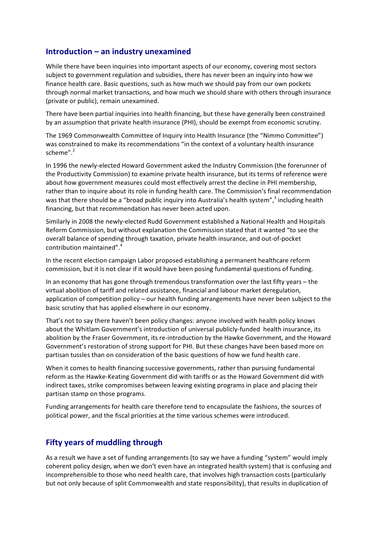# **Introduction – an industry unexamined**

While there have been inquiries into important aspects of our economy, covering most sectors subject to government regulation and subsidies, there has never been an inquiry into how we finance health care. Basic questions, such as how much we should pay from our own pockets through normal market transactions, and how much we should share with others through insurance (private or public), remain unexamined.

There have been partial inquiries into health financing, but these have generally been constrained by an assumption that private health insurance (PHI), should be exempt from economic scrutiny.

The 1969 Commonwealth Committee of Inquiry into Health Insurance (the "Nimmo Committee") was constrained to make its recommendations "in the context of a voluntary health insurance scheme". 2

In 1996 the newly-elected Howard Government asked the Industry Commission (the forerunner of the Productivity Commission) to examine private health insurance, but its terms of reference were about how government measures could most effectively arrest the decline in PHI membership, rather than to inquire about its role in funding health care. The Commission's final recommendation was that there should be a "broad public inquiry into Australia's health system",<sup>3</sup> including health financing, but that recommendation has never been acted upon.

Similarly in 2008 the newly-elected Rudd Government established a National Health and Hospitals Reform Commission, but without explanation the Commission stated that it wanted "to see the overall balance of spending through taxation, private health insurance, and out-of-pocket contribution maintained".<sup>4</sup>

In the recent election campaign Labor proposed establishing a permanent healthcare reform commission, but it is not clear if it would have been posing fundamental questions of funding.

In an economy that has gone through tremendous transformation over the last fifty years – the virtual abolition of tariff and related assistance, financial and labour market deregulation, application of competition policy – our health funding arrangements have never been subject to the basic scrutiny that has applied elsewhere in our economy.

That's not to say there haven't been policy changes: anyone involved with health policy knows about the Whitlam Government's introduction of universal publicly-funded health insurance, its abolition by the Fraser Government, its re-introduction by the Hawke Government, and the Howard Government's restoration of strong support for PHI. But these changes have been based more on partisan tussles than on consideration of the basic questions of how we fund health care.

When it comes to health financing successive governments, rather than pursuing fundamental reform as the Hawke-Keating Government did with tariffs or as the Howard Government did with indirect taxes, strike compromises between leaving existing programs in place and placing their partisan stamp on those programs.

Funding arrangements for health care therefore tend to encapsulate the fashions, the sources of political power, and the fiscal priorities at the time various schemes were introduced.

# **Fifty years of muddling through**

As a result we have a set of funding arrangements (to say we have a funding "system" would imply coherent policy design, when we don't even have an integrated health system) that is confusing and incomprehensible to those who need health care, that involves high transaction costs (particularly but not only because of split Commonwealth and state responsibility), that results in duplication of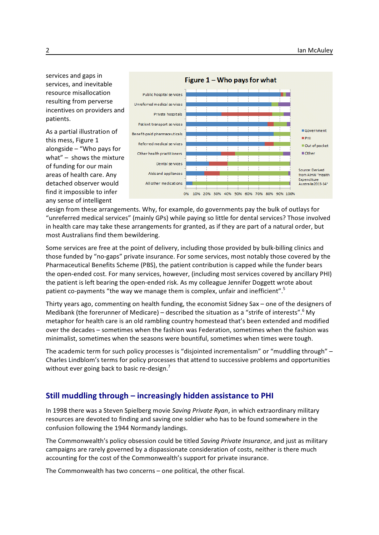services and gaps in services, and inevitable resource misallocation resulting from perverse incentives on providers and patients.

As a partial illustration of this mess, Figure 1 alongside – "Who pays for what" – shows the mixture of funding for our main areas of health care. Any detached observer would find it impossible to infer any sense of intelligent



design from these arrangements. Why, for example, do governments pay the bulk of outlays for "unreferred medical services" (mainly GPs) while paying so little for dental services? Those involved in health care may take these arrangements for granted, as if they are part of a natural order, but most Australians find them bewildering.

Some services are free at the point of delivery, including those provided by bulk-billing clinics and those funded by "no-gaps" private insurance. For some services, most notably those covered by the Pharmaceutical Benefits Scheme (PBS), the patient contribution is capped while the funder bears the open-ended cost. For many services, however, (including most services covered by ancillary PHI) the patient is left bearing the open-ended risk. As my colleague Jennifer Doggett wrote about patient co-payments "the way we manage them is complex, unfair and inefficient".<sup>5</sup>

Thirty years ago, commenting on health funding, the economist Sidney Sax – one of the designers of Medibank (the forerunner of Medicare) – described the situation as a "strife of interests".<sup>6</sup> My metaphor for health care is an old rambling country homestead that's been extended and modified over the decades – sometimes when the fashion was Federation, sometimes when the fashion was minimalist, sometimes when the seasons were bountiful, sometimes when times were tough.

The academic term for such policy processes is "disjointed incrementalism" or "muddling through" – Charles Lindblom's terms for policy processes that attend to successive problems and opportunities without ever going back to basic re-design.

# **Still muddling through – increasingly hidden assistance to PHI**

In 1998 there was a Steven Spielberg movie *Saving Private Ryan*, in which extraordinary military resources are devoted to finding and saving one soldier who has to be found somewhere in the confusion following the 1944 Normandy landings.

The Commonwealth's policy obsession could be titled *Saving Private Insurance*, and just as military campaigns are rarely governed by a dispassionate consideration of costs, neither is there much accounting for the cost of the Commonwealth's support for private insurance.

The Commonwealth has two concerns – one political, the other fiscal.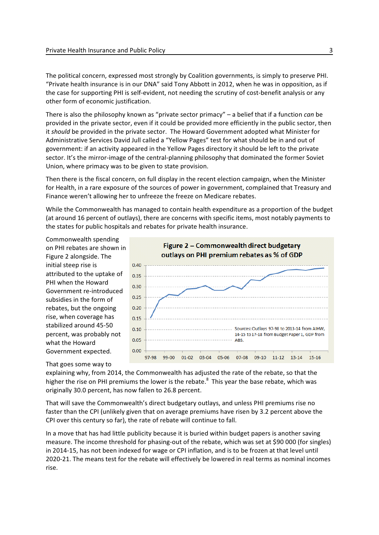The political concern, expressed most strongly by Coalition governments, is simply to preserve PHI. "Private health insurance is in our DNA" said Tony Abbott in 2012, when he was in opposition, as if the case for supporting PHI is self-evident, not needing the scrutiny of cost-benefit analysis or any other form of economic justification.

There is also the philosophy known as "private sector primacy" – a belief that if a function *can* be provided in the private sector, even if it could be provided more efficiently in the public sector, then it *should* be provided in the private sector. The Howard Government adopted what Minister for Administrative Services David Jull called a "Yellow Pages" test for what should be in and out of government: if an activity appeared in the Yellow Pages directory it should be left to the private sector. It's the mirror-image of the central-planning philosophy that dominated the former Soviet Union, where primacy was to be given to state provision.

Then there is the fiscal concern, on full display in the recent election campaign, when the Minister for Health, in a rare exposure of the sources of power in government, complained that Treasury and Finance weren't allowing her to unfreeze the freeze on Medicare rebates.

While the Commonwealth has managed to contain health expenditure as a proportion of the budget (at around 16 percent of outlays), there are concerns with specific items, most notably payments to the states for public hospitals and rebates for private health insurance.

Commonwealth spending on PHI rebates are shown in Figure 2 alongside. The initial steep rise is attributed to the uptake of PHI when the Howard Government re-introduced subsidies in the form of rebates, but the ongoing rise, when coverage has stabilized around 45-50 percent, was probably not what the Howard Government expected.

#### That goes some way to

Figure 2 - Commonwealth direct budgetary outlays on PHI premium rebates as % of GDP  $0.40$  $0.35$  $0.30$  $0.25$  $0.20$  $0.15$  $0.10$ Sources: Outlays 97-98 to 2013-14 from AIHW, 14-15 to 17-18 from Budget Paper 1, GDP from  $0.05$ ABS.  $0.00$ 97-98 99-00  $01-02$ 03-04 05-06 07-08 09-10 11-12 13-14 15-16

explaining why, from 2014, the Commonwealth has adjusted the rate of the rebate, so that the higher the rise on PHI premiums the lower is the rebate.<sup>8</sup> This year the base rebate, which was originally 30.0 percent, has now fallen to 26.8 percent.

That will save the Commonwealth's direct budgetary outlays, and unless PHI premiums rise no faster than the CPI (unlikely given that on average premiums have risen by 3.2 percent above the CPI over this century so far), the rate of rebate will continue to fall.

In a move that has had little publicity because it is buried within budget papers is another saving measure. The income threshold for phasing-out of the rebate, which was set at \$90 000 (for singles) in 2014-15, has not been indexed for wage or CPI inflation, and is to be frozen at that level until 2020-21. The means test for the rebate will effectively be lowered in real terms as nominal incomes rise.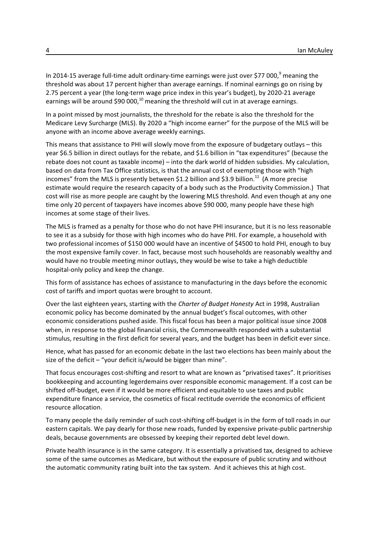In 2014-15 average full-time adult ordinary-time earnings were just over \$77 000,<sup>9</sup> meaning the threshold was about 17 percent higher than average earnings. If nominal earnings go on rising by 2.75 percent a year (the long-term wage price index in this year's budget), by 2020-21 average earnings will be around \$90 000,<sup>10</sup> meaning the threshold will cut in at average earnings.

In a point missed by most journalists, the threshold for the rebate is also the threshold for the Medicare Levy Surcharge (MLS). By 2020 a "high income earner" for the purpose of the MLS will be anyone with an income above average weekly earnings.

This means that assistance to PHI will slowly move from the exposure of budgetary outlays – this year \$6.5 billion in direct outlays for the rebate, and \$1.6 billion in "tax expenditures" (because the rebate does not count as taxable income) – into the dark world of hidden subsidies. My calculation, based on data from Tax Office statistics, is that the annual cost of exempting those with "high incomes" from the MLS is presently between \$1.2 billion and \$3.9 billion.<sup>11</sup> (A more precise estimate would require the research capacity of a body such as the Productivity Commission.) That cost will rise as more people are caught by the lowering MLS threshold. And even though at any one time only 20 percent of taxpayers have incomes above \$90 000, many people have these high incomes at some stage of their lives.

The MLS is framed as a penalty for those who do not have PHI insurance, but it is no less reasonable to see it as a subsidy for those with high incomes who do have PHI. For example, a household with two professional incomes of \$150 000 would have an incentive of \$4500 to hold PHI, enough to buy the most expensive family cover. In fact, because most such households are reasonably wealthy and would have no trouble meeting minor outlays, they would be wise to take a high deductible hospital-only policy and keep the change.

This form of assistance has echoes of assistance to manufacturing in the days before the economic cost of tariffs and import quotas were brought to account.

Over the last eighteen years, starting with the *Charter of Budget Honesty* Act in 1998, Australian economic policy has become dominated by the annual budget's fiscal outcomes, with other economic considerations pushed aside. This fiscal focus has been a major political issue since 2008 when, in response to the global financial crisis, the Commonwealth responded with a substantial stimulus, resulting in the first deficit for several years, and the budget has been in deficit ever since.

Hence, what has passed for an economic debate in the last two elections has been mainly about the size of the deficit – "your deficit is/would be bigger than mine".

That focus encourages cost-shifting and resort to what are known as "privatised taxes". It prioritises bookkeeping and accounting legerdemains over responsible economic management. If a cost can be shifted off-budget, even if it would be more efficient and equitable to use taxes and public expenditure finance a service, the cosmetics of fiscal rectitude override the economics of efficient resource allocation.

To many people the daily reminder of such cost-shifting off-budget is in the form of toll roads in our eastern capitals. We pay dearly for those new roads, funded by expensive private-public partnership deals, because governments are obsessed by keeping their reported debt level down.

Private health insurance is in the same category. It is essentially a privatised tax, designed to achieve some of the same outcomes as Medicare, but without the exposure of public scrutiny and without the automatic community rating built into the tax system. And it achieves this at high cost.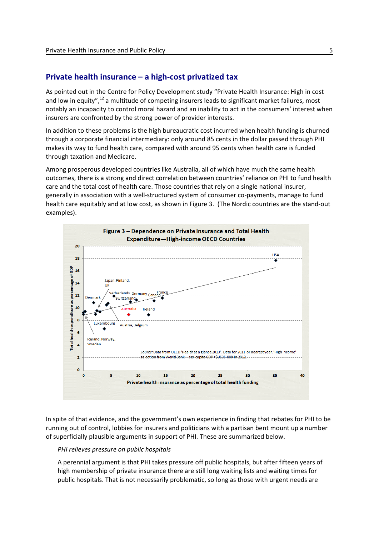# **Private health insurance – a high-cost privatized tax**

As pointed out in the Centre for Policy Development study "Private Health Insurance: High in cost and low in equity",<sup>12</sup> a multitude of competing insurers leads to significant market failures, most notably an incapacity to control moral hazard and an inability to act in the consumers' interest when insurers are confronted by the strong power of provider interests.

In addition to these problems is the high bureaucratic cost incurred when health funding is churned through a corporate financial intermediary: only around 85 cents in the dollar passed through PHI makes its way to fund health care, compared with around 95 cents when health care is funded through taxation and Medicare.

Among prosperous developed countries like Australia, all of which have much the same health outcomes, there is a strong and direct correlation between countries' reliance on PHI to fund health care and the total cost of health care. Those countries that rely on a single national insurer, generally in association with a well-structured system of consumer co-payments, manage to fund health care equitably and at low cost, as shown in Figure 3. (The Nordic countries are the stand-out examples).



In spite of that evidence, and the government's own experience in finding that rebates for PHI to be running out of control, lobbies for insurers and politicians with a partisan bent mount up a number of superficially plausible arguments in support of PHI. These are summarized below.

#### *PHI relieves pressure on public hospitals*

A perennial argument is that PHI takes pressure off public hospitals, but after fifteen years of high membership of private insurance there are still long waiting lists and waiting times for public hospitals. That is not necessarily problematic, so long as those with urgent needs are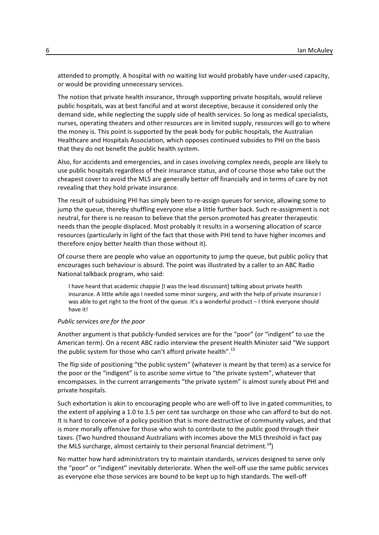attended to promptly. A hospital with no waiting list would probably have under-used capacity, or would be providing unnecessary services.

The notion that private health insurance, through supporting private hospitals, would relieve public hospitals, was at best fanciful and at worst deceptive, because it considered only the demand side, while neglecting the supply side of health services. So long as medical specialists, nurses, operating theaters and other resources are in limited supply, resources will go to where the money is. This point is supported by the peak body for public hospitals, the Australian Healthcare and Hospitals Association, which opposes continued subsides to PHI on the basis that they do not benefit the public health system.

Also, for accidents and emergencies, and in cases involving complex needs, people are likely to use public hospitals regardless of their insurance status, and of course those who take out the cheapest cover to avoid the MLS are generally better off financially and in terms of care by not revealing that they hold private insurance.

The result of subsidising PHI has simply been to re-assign queues for service, allowing some to jump the queue, thereby shuffling everyone else a little further back. Such re-assignment is not neutral, for there is no reason to believe that the person promoted has greater therapeutic needs than the people displaced. Most probably it results in a worsening allocation of scarce resources (particularly in light of the fact that those with PHI tend to have higher incomes and therefore enjoy better health than those without it).

Of course there are people who value an opportunity to jump the queue, but public policy that encourages such behaviour is absurd. The point was illustrated by a caller to an ABC Radio National talkback program, who said:

I have heard that academic chappie [I was the lead discussant] talking about private health insurance. A little while ago I needed some minor surgery, and with the help of private insurance I was able to get right to the front of the queue. It's a wonderful product - I think everyone should have it!

#### *Public services are for the poor*

Another argument is that publicly-funded services are for the "poor" (or "indigent" to use the American term). On a recent ABC radio interview the present Health Minister said "We support the public system for those who can't afford private health".<sup>13</sup>

The flip side of positioning "the public system" (whatever is meant by that term) as a service for the poor or the "indigent" is to ascribe some virtue to "the private system", whatever that encompasses. In the current arrangements "the private system" is almost surely about PHI and private hospitals.

Such exhortation is akin to encouraging people who are well-off to live in gated communities, to the extent of applying a 1.0 to 1.5 per cent tax surcharge on those who can afford to but do not. It is hard to conceive of a policy position that is more destructive of community values, and that is more morally offensive for those who wish to contribute to the public good through their taxes. (Two hundred thousand Australians with incomes above the MLS threshold in fact pay the MLS surcharge, almost certainly to their personal financial detriment.<sup>14</sup>)

No matter how hard administrators try to maintain standards, services designed to serve only the "poor" or "indigent" inevitably deteriorate. When the well-off use the same public services as everyone else those services are bound to be kept up to high standards. The well-off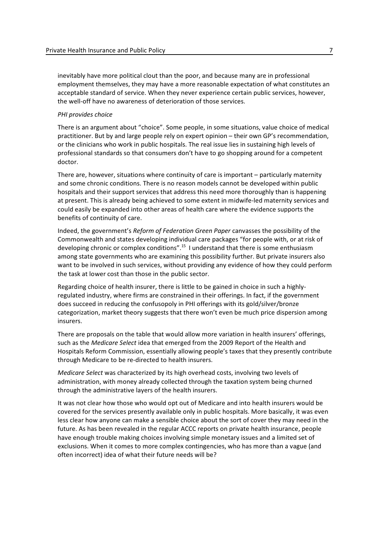inevitably have more political clout than the poor, and because many are in professional employment themselves, they may have a more reasonable expectation of what constitutes an acceptable standard of service. When they never experience certain public services, however, the well-off have no awareness of deterioration of those services.

#### *PHI provides choice*

There is an argument about "choice". Some people, in some situations, value choice of medical practitioner. But by and large people rely on expert opinion – their own GP's recommendation, or the clinicians who work in public hospitals. The real issue lies in sustaining high levels of professional standards so that consumers don't have to go shopping around for a competent doctor.

There are, however, situations where continuity of care is important – particularly maternity and some chronic conditions. There is no reason models cannot be developed within public hospitals and their support services that address this need more thoroughly than is happening at present. This is already being achieved to some extent in midwife-led maternity services and could easily be expanded into other areas of health care where the evidence supports the benefits of continuity of care.

Indeed, the government's *Reform of Federation Green Paper* canvasses the possibility of the Commonwealth and states developing individual care packages "for people with, or at risk of developing chronic or complex conditions".<sup>15</sup> I understand that there is some enthusiasm among state governments who are examining this possibility further. But private insurers also want to be involved in such services, without providing any evidence of how they could perform the task at lower cost than those in the public sector.

Regarding choice of health insurer, there is little to be gained in choice in such a highlyregulated industry, where firms are constrained in their offerings. In fact, if the government does succeed in reducing the confusopoly in PHI offerings with its gold/silver/bronze categorization, market theory suggests that there won't even be much price dispersion among insurers.

There are proposals on the table that would allow more variation in health insurers' offerings, such as the *Medicare Select* idea that emerged from the 2009 Report of the Health and Hospitals Reform Commission, essentially allowing people's taxes that they presently contribute through Medicare to be re-directed to health insurers.

*Medicare Select* was characterized by its high overhead costs, involving two levels of administration, with money already collected through the taxation system being churned through the administrative layers of the health insurers.

It was not clear how those who would opt out of Medicare and into health insurers would be covered for the services presently available only in public hospitals. More basically, it was even less clear how anyone can make a sensible choice about the sort of cover they may need in the future. As has been revealed in the regular ACCC reports on private health insurance, people have enough trouble making choices involving simple monetary issues and a limited set of exclusions. When it comes to more complex contingencies, who has more than a vague (and often incorrect) idea of what their future needs will be?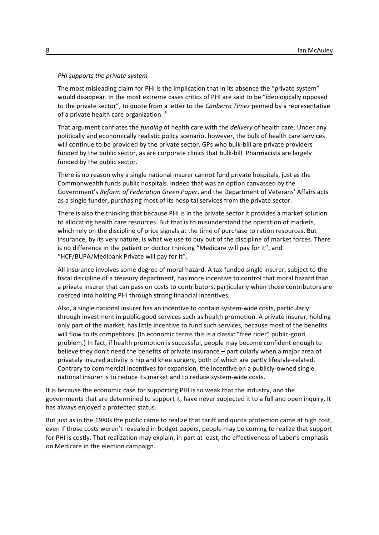#### *PHI supports the private system*

The most misleading claim for PHI is the implication that in its absence the "private system" would disappear. In the most extreme cases critics of PHI are said to be "ideologically opposed to the private sector", to quote from a letter to the *Canberra Times* penned by a representative of a private health care organization. $^{16}$ 

That argument conflates the *funding* of health care with the *delivery* of health care. Under any politically and economically realistic policy scenario, however, the bulk of health care services will continue to be provided by the private sector. GPs who bulk-bill are private providers funded by the public sector, as are corporate clinics that bulk-bill. Pharmacists are largely funded by the public sector.

There is no reason why a single national insurer cannot fund private hospitals, just as the Commonwealth funds public hospitals. Indeed that was an option canvassed by the Government's *Reform of Federation Green Paper*, and the Department of Veterans' Affairs acts as a single funder, purchasing most of its hospital services from the private sector.

There is also the thinking that because PHI is in the private sector it provides a market solution to allocating health care resources. But that is to misunderstand the operation of markets, which rely on the discipline of price signals at the time of purchase to ration resources. But insurance, by its very nature, is what we use to buy out of the discipline of market forces. There is no difference in the patient or doctor thinking "Medicare will pay for it", and "HCF/BUPA/Medibank Private will pay for it".

All insurance involves some degree of moral hazard. A tax-funded single insurer, subject to the fiscal discipline of a treasury department, has more incentive to control that moral hazard than a private insurer that can pass on costs to contributors, particularly when those contributors are coerced into holding PHI through strong financial incentives.

Also, a single national insurer has an incentive to contain system-wide costs, particularly through investment in public-good services such as health promotion. A private insurer, holding only part of the market, has little incentive to fund such services, because most of the benefits will flow to its competitors. (In economic terms this is a classic "free rider" public-good problem.) In fact, if health promotion is successful, people may become confident enough to believe they don't need the benefits of private insurance – particularly when a major area of privately insured activity is hip and knee surgery, both of which are partly lifestyle-related. Contrary to commercial incentives for expansion, the incentive on a publicly-owned single national insurer is to reduce its market and to reduce system-wide costs.

It is because the economic case for supporting PHI is so weak that the industry, and the governments that are determined to support it, have never subjected it to a full and open inquiry. It has always enjoyed a protected status.

But just as in the 1980s the public came to realize that tariff and quota protection came at high cost, even if those costs weren't revealed in budget papers, people may be coming to realize that support for PHI is costly. That realization may explain, in part at least, the effectiveness of Labor's emphasis on Medicare in the election campaign.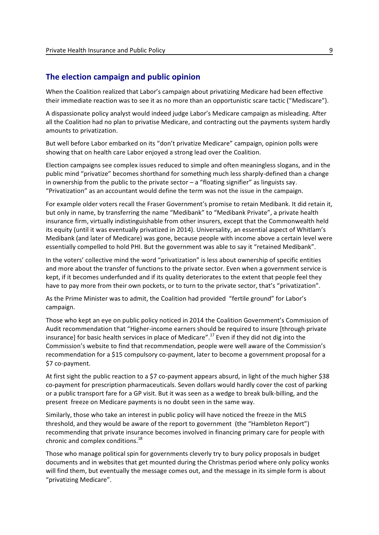### **The election campaign and public opinion**

When the Coalition realized that Labor's campaign about privatizing Medicare had been effective their immediate reaction was to see it as no more than an opportunistic scare tactic ("Mediscare").

A dispassionate policy analyst would indeed judge Labor's Medicare campaign as misleading. After all the Coalition had no plan to privatise Medicare, and contracting out the payments system hardly amounts to privatization.

But well before Labor embarked on its "don't privatize Medicare" campaign, opinion polls were showing that on health care Labor enjoyed a strong lead over the Coalition.

Election campaigns see complex issues reduced to simple and often meaningless slogans, and in the public mind "privatize" becomes shorthand for something much less sharply-defined than a change in ownership from the public to the private sector  $-$  a "floating signifier" as linguists say. "Privatization" as an accountant would define the term was not the issue in the campaign.

For example older voters recall the Fraser Government's promise to retain Medibank. It did retain it, but only in name, by transferring the name "Medibank" to "Medibank Private", a private health insurance firm, virtually indistinguishable from other insurers, except that the Commonwealth held its equity (until it was eventually privatized in 2014). Universality, an essential aspect of Whitlam's Medibank (and later of Medicare) was gone, because people with income above a certain level were essentially compelled to hold PHI. But the government was able to say it "retained Medibank".

In the voters' collective mind the word "privatization" is less about ownership of specific entities and more about the transfer of functions to the private sector. Even when a government service is kept, if it becomes underfunded and if its quality deteriorates to the extent that people feel they have to pay more from their own pockets, or to turn to the private sector, that's "privatization".

As the Prime Minister was to admit, the Coalition had provided "fertile ground" for Labor's campaign.

Those who kept an eye on public policy noticed in 2014 the Coalition Government's Commission of Audit recommendation that "Higher-income earners should be required to insure [through private insurance] for basic health services in place of Medicare".<sup>17</sup> Even if they did not dig into the Commission's website to find that recommendation, people were well aware of the Commission's recommendation for a \$15 compulsory co-payment, later to become a government proposal for a \$7 co-payment.

At first sight the public reaction to a \$7 co-payment appears absurd, in light of the much higher \$38 co-payment for prescription pharmaceuticals. Seven dollars would hardly cover the cost of parking or a public transport fare for a GP visit. But it was seen as a wedge to break bulk-billing, and the present freeze on Medicare payments is no doubt seen in the same way.

Similarly, those who take an interest in public policy will have noticed the freeze in the MLS threshold, and they would be aware of the report to government (the "Hambleton Report") recommending that private insurance becomes involved in financing primary care for people with chronic and complex conditions.<sup>18</sup>

Those who manage political spin for governments cleverly try to bury policy proposals in budget documents and in websites that get mounted during the Christmas period where only policy wonks will find them, but eventually the message comes out, and the message in its simple form is about "privatizing Medicare".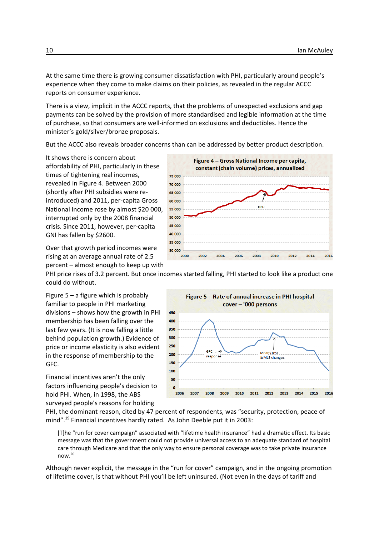At the same time there is growing consumer dissatisfaction with PHI, particularly around people's experience when they come to make claims on their policies, as revealed in the regular ACCC reports on consumer experience.

There is a view, implicit in the ACCC reports, that the problems of unexpected exclusions and gap payments can be solved by the provision of more standardised and legible information at the time of purchase, so that consumers are well-informed on exclusions and deductibles. Hence the minister's gold/silver/bronze proposals.

But the ACCC also reveals broader concerns than can be addressed by better product description.

It shows there is concern about affordability of PHI, particularly in these times of tightening real incomes, revealed in Figure 4. Between 2000 (shortly after PHI subsidies were reintroduced) and 2011, per-capita Gross National Income rose by almost \$20 000, interrupted only by the 2008 financial crisis. Since 2011, however, per-capita GNI has fallen by \$2600.

Over that growth period incomes were rising at an average annual rate of 2.5 percent – almost enough to keep up with



PHI price rises of 3.2 percent. But once incomes started falling, PHI started to look like a product one could do without.

Figure 5 – a figure which is probably familiar to people in PHI marketing divisions – shows how the growth in PHI membership has been falling over the last few years. (It is now falling a little behind population growth.) Evidence of price or income elasticity is also evident in the response of membership to the GFC.

Financial incentives aren't the only factors influencing people's decision to hold PHI. When, in 1998, the ABS surveyed people's reasons for holding



PHI, the dominant reason, cited by 47 percent of respondents, was "security, protection, peace of mind".<sup>19</sup> Financial incentives hardly rated. As John Deeble put it in 2003:

[T]he "run for cover campaign" associated with "lifetime health insurance" had a dramatic effect. Its basic message was that the government could not provide universal access to an adequate standard of hospital care through Medicare and that the only way to ensure personal coverage was to take private insurance now.<sup>20</sup>

Although never explicit, the message in the "run for cover" campaign, and in the ongoing promotion of lifetime cover, is that without PHI you'll be left uninsured. (Not even in the days of tariff and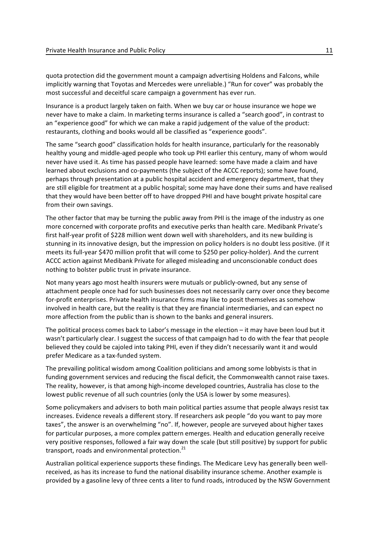quota protection did the government mount a campaign advertising Holdens and Falcons, while implicitly warning that Toyotas and Mercedes were unreliable.) "Run for cover" was probably the most successful and deceitful scare campaign a government has ever run.

Insurance is a product largely taken on faith. When we buy car or house insurance we hope we never have to make a claim. In marketing terms insurance is called a "search good", in contrast to an "experience good" for which we can make a rapid judgement of the value of the product: restaurants, clothing and books would all be classified as "experience goods".

The same "search good" classification holds for health insurance, particularly for the reasonably healthy young and middle-aged people who took up PHI earlier this century, many of whom would never have used it. As time has passed people have learned: some have made a claim and have learned about exclusions and co-payments (the subject of the ACCC reports); some have found, perhaps through presentation at a public hospital accident and emergency department, that they are still eligible for treatment at a public hospital; some may have done their sums and have realised that they would have been better off to have dropped PHI and have bought private hospital care from their own savings.

The other factor that may be turning the public away from PHI is the image of the industry as one more concerned with corporate profits and executive perks than health care. Medibank Private's first half-year profit of \$228 million went down well with shareholders, and its new building is stunning in its innovative design, but the impression on policy holders is no doubt less positive. (If it meets its full-year \$470 million profit that will come to \$250 per policy-holder). And the current ACCC action against Medibank Private for alleged misleading and unconscionable conduct does nothing to bolster public trust in private insurance.

Not many years ago most health insurers were mutuals or publicly-owned, but any sense of attachment people once had for such businesses does not necessarily carry over once they become for-profit enterprises. Private health insurance firms may like to posit themselves as somehow involved in health care, but the reality is that they are financial intermediaries, and can expect no more affection from the public than is shown to the banks and general insurers.

The political process comes back to Labor's message in the election – it may have been loud but it wasn't particularly clear. I suggest the success of that campaign had to do with the fear that people believed they could be cajoled into taking PHI, even if they didn't necessarily want it and would prefer Medicare as a tax-funded system.

The prevailing political wisdom among Coalition politicians and among some lobbyists is that in funding government services and reducing the fiscal deficit, the Commonwealth cannot raise taxes. The reality, however, is that among high-income developed countries, Australia has close to the lowest public revenue of all such countries (only the USA is lower by some measures).

Some policymakers and advisers to both main political parties assume that people always resist tax increases. Evidence reveals a different story. If researchers ask people "do you want to pay more taxes", the answer is an overwhelming "no". If, however, people are surveyed about higher taxes for particular purposes, a more complex pattern emerges. Health and education generally receive very positive responses, followed a fair way down the scale (but still positive) by support for public transport, roads and environmental protection.<sup>21</sup>

Australian political experience supports these findings. The Medicare Levy has generally been wellreceived, as has its increase to fund the national disability insurance scheme. Another example is provided by a gasoline levy of three cents a liter to fund roads, introduced by the NSW Government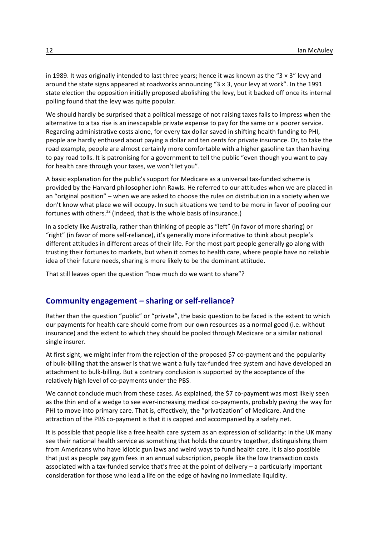in 1989. It was originally intended to last three years; hence it was known as the "3  $\times$  3" levy and around the state signs appeared at roadworks announcing "3 × 3, your levy at work". In the 1991 state election the opposition initially proposed abolishing the levy, but it backed off once its internal polling found that the levy was quite popular.

We should hardly be surprised that a political message of not raising taxes fails to impress when the alternative to a tax rise is an inescapable private expense to pay for the same or a poorer service. Regarding administrative costs alone, for every tax dollar saved in shifting health funding to PHI, people are hardly enthused about paying a dollar and ten cents for private insurance. Or, to take the road example, people are almost certainly more comfortable with a higher gasoline tax than having to pay road tolls. It is patronising for a government to tell the public "even though you want to pay for health care through your taxes, we won't let you".

A basic explanation for the public's support for Medicare as a universal tax-funded scheme is provided by the Harvard philosopher John Rawls. He referred to our attitudes when we are placed in an "original position" – when we are asked to choose the rules on distribution in a society when we don't know what place we will occupy. In such situations we tend to be more in favor of pooling our fortunes with others.<sup>22</sup> (Indeed, that is the whole basis of insurance.)

In a society like Australia, rather than thinking of people as "left" (in favor of more sharing) or "right" (in favor of more self-reliance), it's generally more informative to think about people's different attitudes in different areas of their life. For the most part people generally go along with trusting their fortunes to markets, but when it comes to health care, where people have no reliable idea of their future needs, sharing is more likely to be the dominant attitude.

That still leaves open the question "how much do we want to share"?

# **Community engagement – sharing or self-reliance?**

Rather than the question "public" or "private", the basic question to be faced is the extent to which our payments for health care should come from our own resources as a normal good (i.e. without insurance) and the extent to which they should be pooled through Medicare or a similar national single insurer.

At first sight, we might infer from the rejection of the proposed \$7 co-payment and the popularity of bulk-billing that the answer is that we want a fully tax-funded free system and have developed an attachment to bulk-billing. But a contrary conclusion is supported by the acceptance of the relatively high level of co-payments under the PBS.

We cannot conclude much from these cases. As explained, the \$7 co-payment was most likely seen as the thin end of a wedge to see ever-increasing medical co-payments, probably paving the way for PHI to move into primary care. That is, effectively, the "privatization" of Medicare. And the attraction of the PBS co-payment is that it is capped and accompanied by a safety net.

It is possible that people like a free health care system as an expression of solidarity: in the UK many see their national health service as something that holds the country together, distinguishing them from Americans who have idiotic gun laws and weird ways to fund health care. It is also possible that just as people pay gym fees in an annual subscription, people like the low transaction costs associated with a tax-funded service that's free at the point of delivery – a particularly important consideration for those who lead a life on the edge of having no immediate liquidity.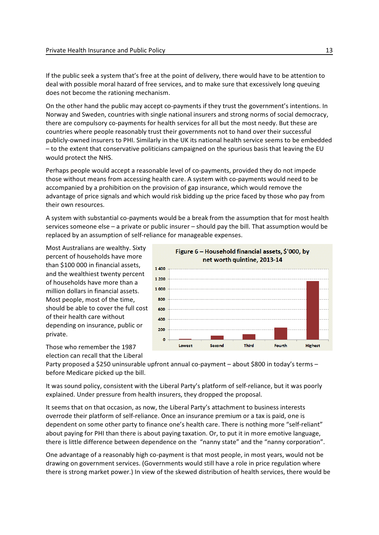If the public seek a system that's free at the point of delivery, there would have to be attention to deal with possible moral hazard of free services, and to make sure that excessively long queuing does not become the rationing mechanism.

On the other hand the public may accept co-payments if they trust the government's intentions. In Norway and Sweden, countries with single national insurers and strong norms of social democracy, there are compulsory co-payments for health services for all but the most needy. But these are countries where people reasonably trust their governments not to hand over their successful publicly-owned insurers to PHI. Similarly in the UK its national health service seems to be embedded – to the extent that conservative politicians campaigned on the spurious basis that leaving the EU would protect the NHS.

Perhaps people would accept a reasonable level of co-payments, provided they do not impede those without means from accessing health care. A system with co-payments would need to be accompanied by a prohibition on the provision of gap insurance, which would remove the advantage of price signals and which would risk bidding up the price faced by those who pay from their own resources.

A system with substantial co-payments would be a break from the assumption that for most health services someone else – a private or public insurer – should pay the bill. That assumption would be replaced by an assumption of self-reliance for manageable expenses.

Most Australians are wealthy. Sixty percent of households have more than \$100 000 in financial assets, and the wealthiest twenty percent of households have more than a million dollars in financial assets. Most people, most of the time, should be able to cover the full cost of their health care without depending on insurance, public or private.



Those who remember the 1987 election can recall that the Liberal

Party proposed a \$250 uninsurable upfront annual co-payment – about \$800 in today's terms – before Medicare picked up the bill.

It was sound policy, consistent with the Liberal Party's platform of self-reliance, but it was poorly explained. Under pressure from health insurers, they dropped the proposal.

It seems that on that occasion, as now, the Liberal Party's attachment to business interests overrode their platform of self-reliance. Once an insurance premium or a tax is paid, one is dependent on some other party to finance one's health care. There is nothing more "self-reliant" about paying for PHI than there is about paying taxation. Or, to put it in more emotive language, there is little difference between dependence on the "nanny state" and the "nanny corporation".

One advantage of a reasonably high co-payment is that most people, in most years, would not be drawing on government services. (Governments would still have a role in price regulation where there is strong market power.) In view of the skewed distribution of health services, there would be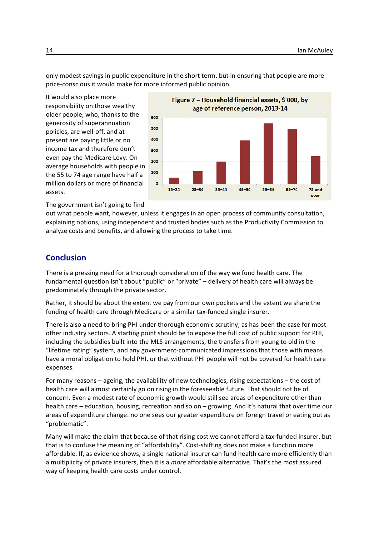only modest savings in public expenditure in the short term, but in ensuring that people are more price-conscious it would make for more informed public opinion.

It would also place more responsibility on those wealthy older people, who, thanks to the generosity of superannuation policies, are well-off, and at present are paying little or no income tax and therefore don't even pay the Medicare Levy. On average households with people in the 55 to 74 age range have half a million dollars or more of financial assets.



The government isn't going to find

out what people want, however, unless it engages in an open process of community consultation, explaining options, using independent and trusted bodies such as the Productivity Commission to analyze costs and benefits, and allowing the process to take time.

# **Conclusion**

There is a pressing need for a thorough consideration of the way we fund health care. The fundamental question isn't about "public" or "private" – delivery of health care will always be predominately through the private sector.

Rather, it should be about the extent we pay from our own pockets and the extent we share the funding of health care through Medicare or a similar tax-funded single insurer.

There is also a need to bring PHI under thorough economic scrutiny, as has been the case for most other industry sectors. A starting point should be to expose the full cost of public support for PHI, including the subsidies built into the MLS arrangements, the transfers from young to old in the "lifetime rating" system, and any government-communicated impressions that those with means have a moral obligation to hold PHI, or that without PHI people will not be covered for health care expenses.

For many reasons – ageing, the availability of new technologies, rising expectations – the cost of health care will almost certainly go on rising in the foreseeable future. That should not be of concern. Even a modest rate of economic growth would still see areas of expenditure other than health care – education, housing, recreation and so on – growing. And it's natural that over time our areas of expenditure change: no one sees our greater expenditure on foreign travel or eating out as "problematic".

Many will make the claim that because of that rising cost we cannot afford a tax-funded insurer, but that is to confuse the meaning of "affordability". Cost-shifting does not make a function more affordable. If, as evidence shows, a single national insurer can fund health care more efficiently than a multiplicity of private insurers, then it is a *more* affordable alternative. That's the most assured way of keeping health care costs under control.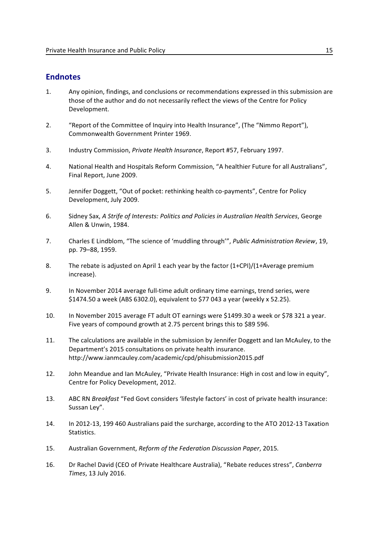# **Endnotes**

- 1. Any opinion, findings, and conclusions or recommendations expressed in this submission are those of the author and do not necessarily reflect the views of the Centre for Policy Development.
- 2. "Report of the Committee of Inquiry into Health Insurance", (The "Nimmo Report"), Commonwealth Government Printer 1969.
- 3. Industry Commission, *Private Health Insurance*, Report #57, February 1997.
- 4. National Health and Hospitals Reform Commission, "A healthier Future for all Australians", Final Report, June 2009.
- 5. Jennifer Doggett, "Out of pocket: rethinking health co-payments", Centre for Policy Development, July 2009.
- 6. Sidney Sax, *A Strife of Interests: Politics and Policies in Australian Health Services*, George Allen & Unwin, 1984.
- 7. Charles E Lindblom, "The science of 'muddling through'", *Public Administration Review*, 19, pp. 79–88, 1959.
- 8. The rebate is adjusted on April 1 each year by the factor (1+CPI)/(1+Average premium increase).
- 9. In November 2014 average full-time adult ordinary time earnings, trend series, were \$1474.50 a week (ABS 6302.0), equivalent to \$77 043 a year (weekly x 52.25).
- 10. In November 2015 average FT adult OT earnings were \$1499.30 a week or \$78 321 a year. Five years of compound growth at 2.75 percent brings this to \$89 596.
- 11. The calculations are available in the submission by Jennifer Doggett and Ian McAuley, to the Department's 2015 consultations on private health insurance. http://www.ianmcauley.com/academic/cpd/phisubmission2015.pdf
- 12. John Meandue and Ian McAuley, "Private Health Insurance: High in cost and low in equity", Centre for Policy Development, 2012.
- 13. ABC RN *Breakfast* "Fed Govt considers 'lifestyle factors' in cost of private health insurance: Sussan Ley".
- 14. In 2012-13, 199 460 Australians paid the surcharge, according to the ATO 2012-13 Taxation Statistics.
- 15. Australian Government, *Reform of the Federation Discussion Paper*, 2015*.*
- 16. Dr Rachel David (CEO of Private Healthcare Australia), "Rebate reduces stress", *Canberra Times*, 13 July 2016.